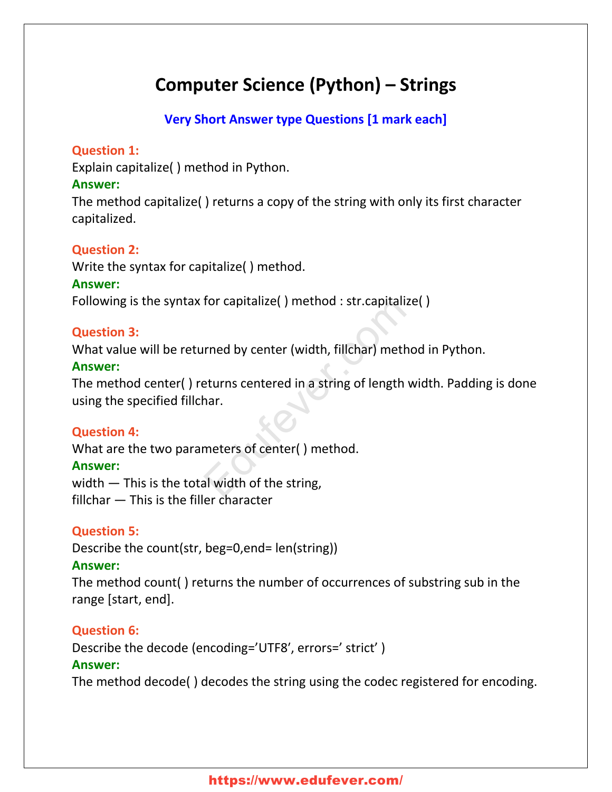# **Computer Science (Python) – Strings**

# **Very Short Answer type Questions [1 mark each]**

#### **Question 1:**

Explain capitalize( ) method in Python.

#### **Answer:**

The method capitalize( ) returns a copy of the string with only its first character capitalized.

# **Question 2:**

Write the syntax for capitalize( ) method.

#### **Answer:**

Following is the syntax for capitalize( ) method : str.capitalize( )

#### **Question 3:**

What value will be returned by center (width, fillchar) method in Python.

#### **Answer:**

The method center( ) returns centered in a string of length width. Padding is done using the specified fillchar. ror capitalize() method : str.capitalize()<br>
rined by center (width, fillchar) method<br>
eturns centered in a string of length wi<br>
har.<br>
meters of center() method.<br>
al width of the string,

# **Question 4:**

What are the two parameters of center( ) method.

#### **Answer:**

width – This is the total width of the string, fillchar — This is the filler character

# **Question 5:**

Describe the count(str, beg=0,end= len(string))

#### **Answer:**

The method count( ) returns the number of occurrences of substring sub in the range [start, end].

# **Question 6:**

Describe the decode (encoding='UTF8′, errors=' strict' )

#### **Answer:**

The method decode( ) decodes the string using the codec registered for encoding.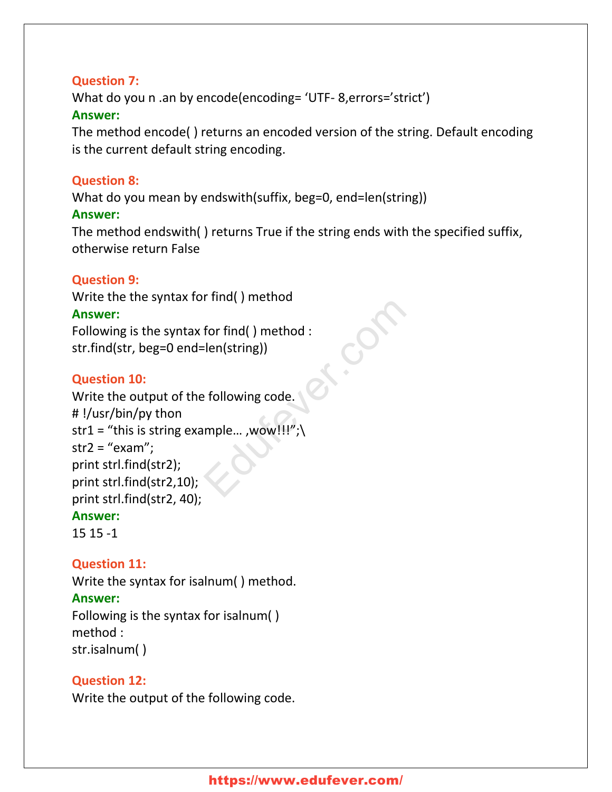#### **Question 7:**

What do you n .an by encode(encoding= 'UTF- 8,errors='strict') **Answer:**

The method encode( ) returns an encoded version of the string. Default encoding is the current default string encoding.

#### **Question 8:**

What do you mean by endswith(suffix, beg=0, end=len(string))

#### **Answer:**

The method endswith( ) returns True if the string ends with the specified suffix, otherwise return False

# **Question 9:**

Write the the syntax for find( ) method **Answer:** Following is the syntax for find( ) method : str.find(str, beg=0 end=len(string))

# **Question 10:**

Write the output of the following code. # !/usr/bin/py thon str1 = "this is string example..., wow!!!";  $str2 = "exam";$ print strl.find(str2); print strl.find(str2,10); print strl.find(str2, 40); **Answer:** For find() method :<br>
len(string))<br>
Perfollowing code.<br>
mple... ,wow!!!";\

15 15 -1

# **Question 11:**

Write the syntax for isalnum( ) method.

#### **Answer:**

Following is the syntax for isalnum( ) method : str.isalnum( )

#### **Question 12:**

Write the output of the following code.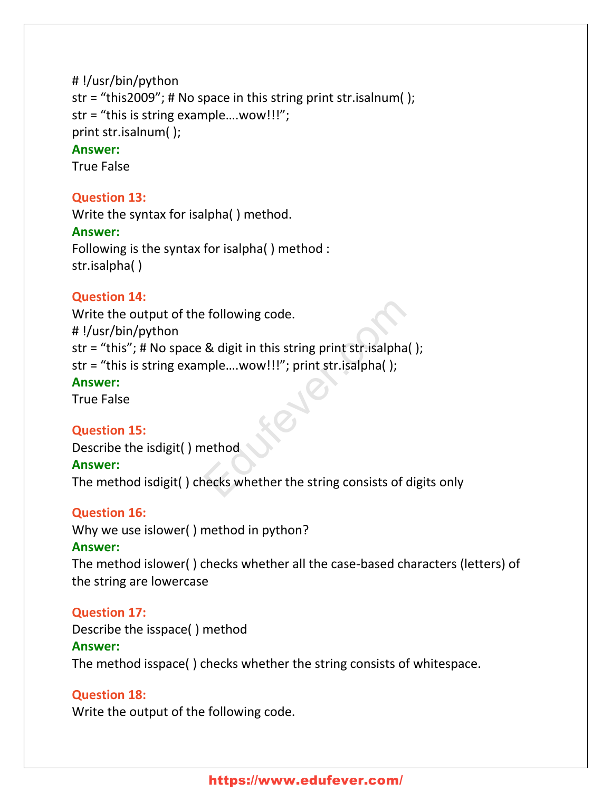```
# !/usr/bin/python
str = "this2009"; # No space in this string print str.isalnum( );
str = "this is string example….wow!!!";
print str.isalnum( );
Answer:
```
True False

#### **Question 13:**

Write the syntax for isalpha( ) method.

#### **Answer:**

Following is the syntax for isalpha( ) method : str.isalpha( )

#### **Question 14:**

Write the output of the following code. # !/usr/bin/python str = "this"; # No space & digit in this string print str.isalpha( ); str = "this is string example….wow!!!"; print str.isalpha( ); **Answer:** exponention of the string print strisalpha<br>
Education (1)<br>
String print strisalpha<br>
String (1)<br>
The string consists of dignosials of dignosials of dignosials of dignosials of dignosials of dignosials of dignosials of digno

True False

#### **Question 15:**

Describe the isdigit( ) method

#### **Answer:**

The method isdigit( ) checks whether the string consists of digits only

#### **Question 16:**

Why we use islower( ) method in python?

#### **Answer:**

The method islower( ) checks whether all the case-based characters (letters) of the string are lowercase

#### **Question 17:**

Describe the isspace( ) method **Answer:** The method isspace( ) checks whether the string consists of whitespace.

#### **Question 18:**

Write the output of the following code.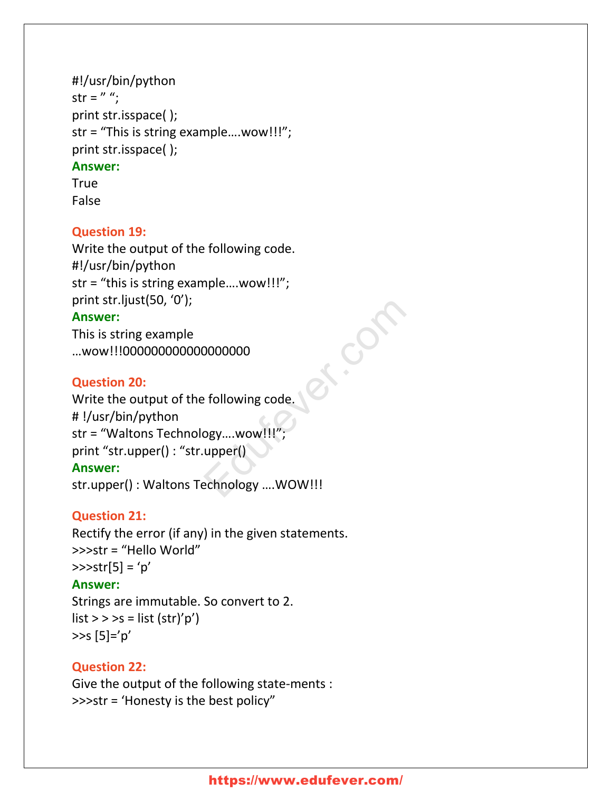# #!/usr/bin/python str =  $" "$ ; print str.isspace( ); str = "This is string example….wow!!!"; print str.isspace( ); **Answer:** True

False

# **Question 19:**

Write the output of the following code. #!/usr/bin/python str = "this is string example….wow!!!"; print str.ljust(50, '0'); **Answer:** This is string example …wow!!!000000000000000000

#### **Question 20:**

Write the output of the following code. # !/usr/bin/python str = "Waltons Technology....wow!!!" print "str.upper() : "str.upper() **Answer:** str.upper() : Waltons Technology ….WOW!!! E.Com

#### **Question 21:**

Rectify the error (if any) in the given statements. >>>str = "Hello World"  $>>str[5] = 'p'$ 

#### **Answer:**

Strings are immutable. So convert to 2.  $list \gt \gt \gt s = list (str)'p'$  $>>s$   $[5]='p'$ 

# **Question 22:**

Give the output of the following state-ments : >>>str = 'Honesty is the best policy"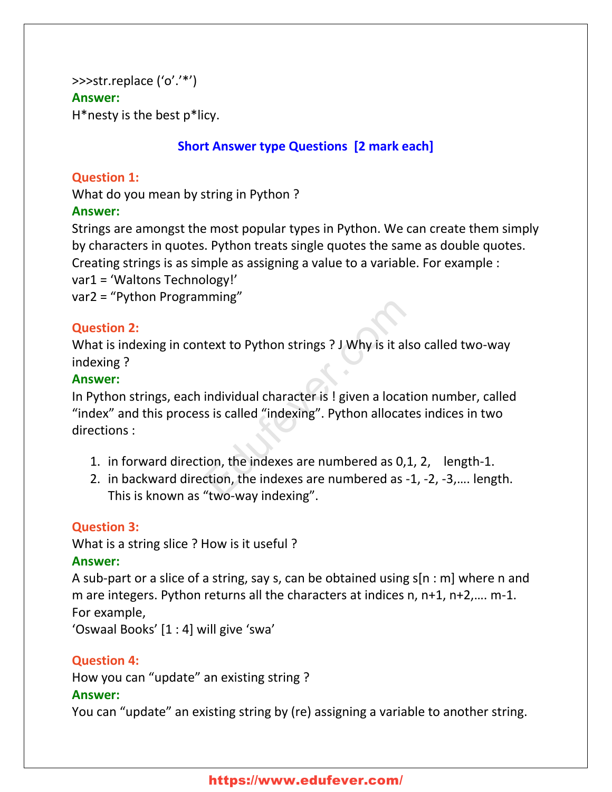# >>>str.replace ('o'.'\*') **Answer:**

H\*nesty is the best p\*licy.

# **Short Answer type Questions [2 mark each]**

#### **Question 1:**

What do you mean by string in Python ?

#### **Answer:**

Strings are amongst the most popular types in Python. We can create them simply by characters in quotes. Python treats single quotes the same as double quotes. Creating strings is as simple as assigning a value to a variable. For example :

var1 = 'Waltons Technology!'

var2 = "Python Programming"

# **Question 2:**

What is indexing in context to Python strings ? J Why is it also called two-way indexing ?

#### **Answer:**

In Python strings, each individual character is ! given a location number, called "index" and this process is called "indexing". Python allocates indices in two directions : text to Python strings ? J Why is it also<br>individual character is ! given a locatio<br>is is called "indexing". Python allocates<br>ion, the indexes are numbered as 0,1,<br>tion, the indexes are numbered as -1,<br>"two-way indexing"

- 1. in forward direction, the indexes are numbered as 0,1, 2, length-1.
- 2. in backward direction, the indexes are numbered as -1, -2, -3,…. length. This is known as "two-way indexing".

# **Question 3:**

What is a string slice ? How is it useful ?

#### **Answer:**

A sub-part or a slice of a string, say s, can be obtained using s[n : m] where n and m are integers. Python returns all the characters at indices n, n+1, n+2,…. m-1. For example,

'Oswaal Books' [1 : 4] will give 'swa'

# **Question 4:**

How you can "update" an existing string ?

#### **Answer:**

You can "update" an existing string by (re) assigning a variable to another string.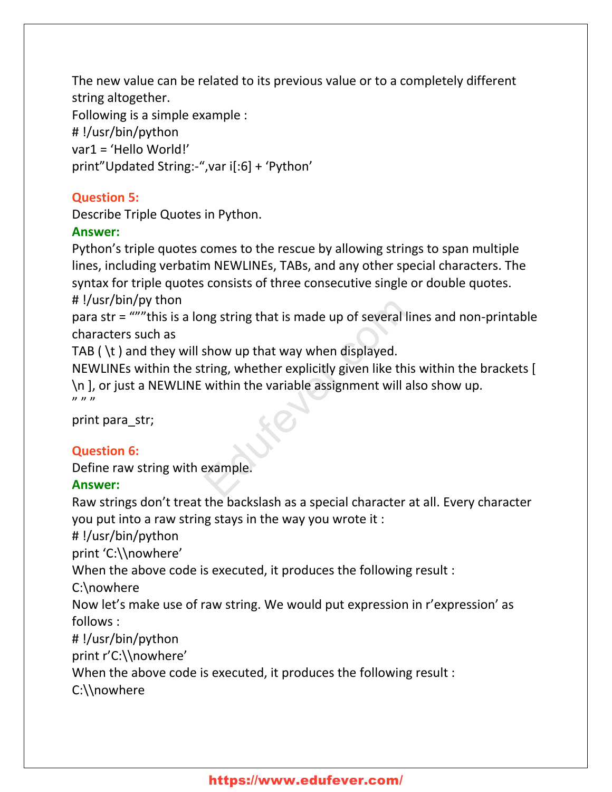The new value can be related to its previous value or to a completely different string altogether. Following is a simple example : # !/usr/bin/python var1 = 'Hello World!' print"Updated String:-",var i[:6] + 'Python'

# **Question 5:**

Describe Triple Quotes in Python.

# **Answer:**

Python's triple quotes comes to the rescue by allowing strings to span multiple lines, including verbatim NEWLINEs, TABs, and any other special characters. The syntax for triple quotes consists of three consecutive single or double quotes. # !/usr/bin/py thon

para str = """this is a long string that is made up of several lines and non-printable characters such as

TAB ( $\setminus t$ ) and they will show up that way when displayed.

NEWLINEs within the string, whether explicitly given like this within the brackets [ \n ], or just a NEWLINE within the variable assignment will also show up. " " " " " " " me string that is made up of several line<br>show up that way when displayed.<br>tring, whether explicitly given like this<br>within the variable assignment will als<br>example.

print para\_str;

# **Question 6:**

Define raw string with example.

# **Answer:**

Raw strings don't treat the backslash as a special character at all. Every character you put into a raw string stays in the way you wrote it :

# !/usr/bin/python

print 'C:\\nowhere'

When the above code is executed, it produces the following result :

C:\nowhere

Now let's make use of raw string. We would put expression in r'expression' as follows :

# !/usr/bin/python

print r'C:\\nowhere'

When the above code is executed, it produces the following result :

C:\\nowhere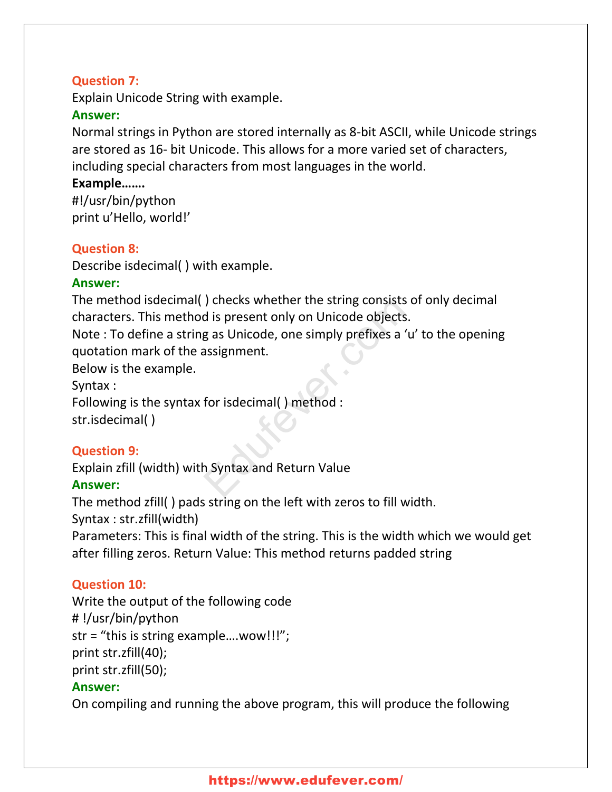# **Question 7:**

Explain Unicode String with example.

#### **Answer:**

Normal strings in Python are stored internally as 8-bit ASCII, while Unicode strings are stored as 16- bit Unicode. This allows for a more varied set of characters, including special characters from most languages in the world.

#### **Example…….**

#!/usr/bin/python print u'Hello, world!'

# **Question 8:**

Describe isdecimal( ) with example.

# **Answer:**

The method isdecimal( ) checks whether the string consists of only decimal characters. This method is present only on Unicode objects.

Note : To define a string as Unicode, one simply prefixes a 'u' to the opening quotation mark of the assignment. The String Consists of the String Consists of the String Consists of the String Consists of the String consists a 'u'<br>g as Unicode, one simply prefixes a 'u'<br>assignment.<br>for isdecimal() method :<br>h Syntax and Return Value

Below is the example.

Syntax :

Following is the syntax for isdecimal( ) method :

str.isdecimal( )

# **Question 9:**

Explain zfill (width) with Syntax and Return Value

# **Answer:**

The method zfill( ) pads string on the left with zeros to fill width.

Syntax : str.zfill(width)

Parameters: This is final width of the string. This is the width which we would get after filling zeros. Return Value: This method returns padded string

# **Question 10:**

Write the output of the following code # !/usr/bin/python str = "this is string example….wow!!!"; print str.zfill(40); print str.zfill(50); **Answer:**

On compiling and running the above program, this will produce the following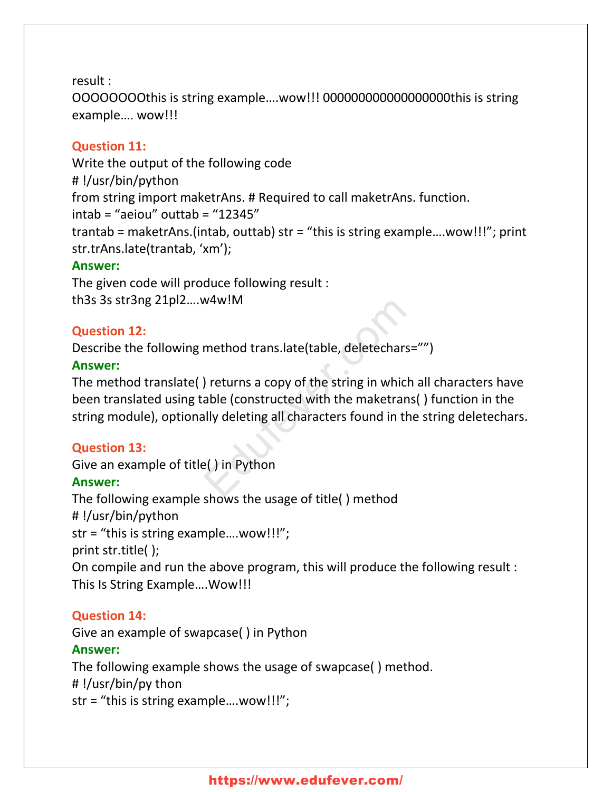result :

OOOOOOOOthis is string example….wow!!! 000000000000000000this is string example…. wow!!!

#### **Question 11:**

Write the output of the following code # !/usr/bin/python from string import maketrAns. # Required to call maketrAns. function. intab = "aeiou" outtab = "12345" trantab = maketrAns.(intab, outtab) str = "this is string example….wow!!!"; print str.trAns.late(trantab, 'xm'); **Answer:**

The given code will produce following result : th3s 3s str3ng 21pl2….w4w!M

#### **Question 12:**

Describe the following method trans.late(table, deletechars="")

#### **Answer:**

The method translate( ) returns a copy of the string in which all characters have been translated using table (constructed with the maketrans( ) function in the string module), optionally deleting all characters found in the string deletechars. M4W!M<br>
method trans.late(table, deletechars='<br>
) returns a copy of the string in which a<br>
able (constructed with the maketrans(<br>
ally deleting all characters found in the<br>
e() in Python

#### **Question 13:**

Give an example of title( ) in Python **Answer:** The following example shows the usage of title( ) method # !/usr/bin/python str = "this is string example….wow!!!"; print str.title( ); On compile and run the above program, this will produce the following result : This Is String Example….Wow!!!

#### **Question 14:**

Give an example of swapcase( ) in Python **Answer:** The following example shows the usage of swapcase( ) method. # !/usr/bin/py thon str = "this is string example….wow!!!";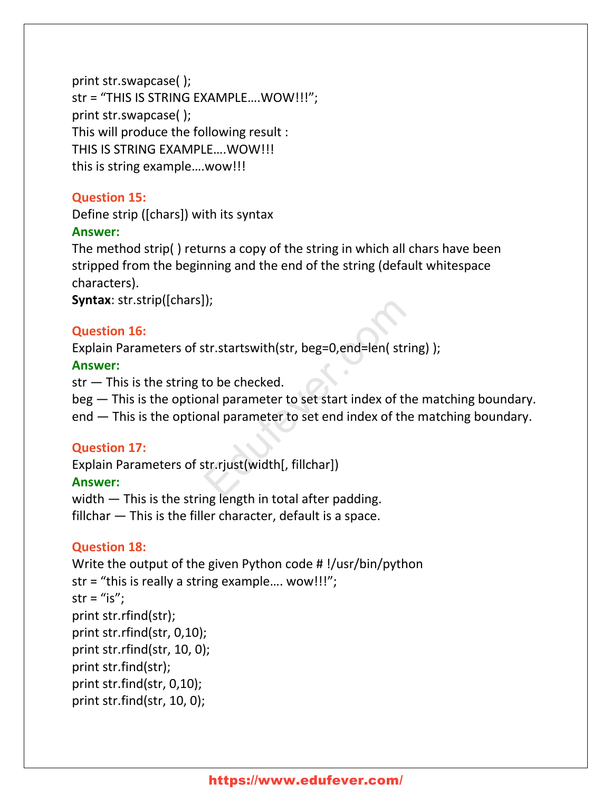```
print str.swapcase( );
str = "THIS IS STRING EXAMPLE….WOW!!!";
print str.swapcase( );
This will produce the following result :
THIS IS STRING EXAMPLE….WOW!!!
this is string example….wow!!!
```
### **Question 15:**

Define strip ([chars]) with its syntax

#### **Answer:**

The method strip( ) returns a copy of the string in which all chars have been stripped from the beginning and the end of the string (default whitespace characters).

**Syntax**: str.strip([chars]);

#### **Question 16:**

Explain Parameters of str.startswith(str, beg=0,end=len( string) );

#### **Answer:**

 $str$  – This is the string to be checked.

beg — This is the optional parameter to set start index of the matching boundary. end — This is the optional parameter to set end index of the matching boundary.

#### **Question 17:**

Explain Parameters of str.rjust(width[, fillchar]) **Answer:** II;<br>str.startswith(str, beg=0,end=len( string<br>to be checked.<br>nal parameter to set start index of the nal parameter to set end index of the i<br>str.rjust(width[, fillchar])

width — This is the string length in total after padding. fillchar — This is the filler character, default is a space.

# **Question 18:**

```
Write the output of the given Python code # !/usr/bin/python
str = "this is really a string example…. wow!!!";
str = "is";
print str.rfind(str);
print str.rfind(str, 0,10);
print str.rfind(str, 10, 0);
print str.find(str);
print str.find(str, 0,10);
print str.find(str, 10, 0);
```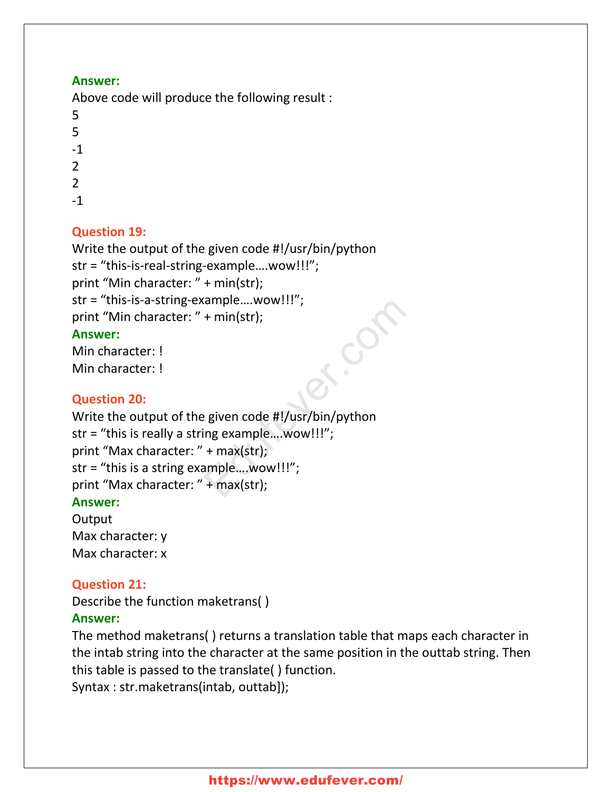#### **Answer:**

Above code will produce the following result :

- 5 5 -1 2
- $\mathcal{P}$
- -1

# **Question 19:**

```
Write the output of the given code #!/usr/bin/python
str = "this-is-real-string-example….wow!!!";
print "Min character: " + min(str);
str = "this-is-a-string-example….wow!!!";
print "Min character: " + min(str);
Answer:
Min character: !
```

```
Min character: !
```
# **Question 20:**

```
Write the output of the given code #!/usr/bin/python
str = "this is really a string example….wow!!!";
print "Max character: " + max(str);
str = "this is a string example….wow!!!";
print "Max character: " + max(str);
                               ample....wow!!! ;<br>+ min(str);<br>? given code #!/usr/bin/python<br>ing example....wow!!!";<br>+ max(str);<br>#max(str);
```
#### **Answer:**

**Output** Max character: y Max character: x

# **Question 21:**

Describe the function maketrans( )

#### **Answer:**

The method maketrans( ) returns a translation table that maps each character in the intab string into the character at the same position in the outtab string. Then this table is passed to the translate( ) function.

Syntax : str.maketrans(intab, outtab]);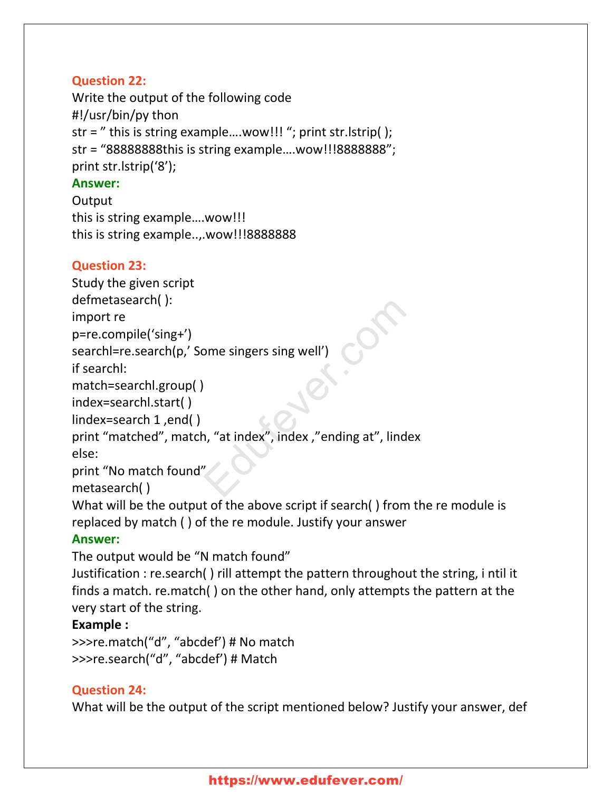# **Question 22:**

Write the output of the following code #!/usr/bin/py thon str = " this is string example….wow!!! "; print str.lstrip( ); str = "88888888this is string example….wow!!!8888888"; print str.lstrip('8'); **Answer:**

**Output** this is string example….wow!!! this is string example..,.wow!!!8888888

#### **Question 23:**

Study the given script

defmetasearch( ):

import re

p=re.compile('sing+')

searchl=re.search(p,' Some singers sing well')

if searchl:

```
match=searchl.group( )
```
index=searchl.start( )

lindex=search 1 ,end( )

print "matched", match, "at index", index ,"ending at", lindex else: ome singers sing well')<br>
The singer of the single value of the single state of the single state of the single state of the single state of the single state of the single state of the single state of the single state of the

```
print "No match found"
```
metasearch( )

What will be the output of the above script if search( ) from the re module is replaced by match ( ) of the re module. Justify your answer

# **Answer:**

The output would be "N match found"

Justification : re.search( ) rill attempt the pattern throughout the string, i ntil it finds a match. re.match( ) on the other hand, only attempts the pattern at the very start of the string.

#### **Example :**

>>>re.match("d", "abcdef') # No match >>>re.search("d", "abcdef') # Match

#### **Question 24:**

What will be the output of the script mentioned below? Justify your answer, def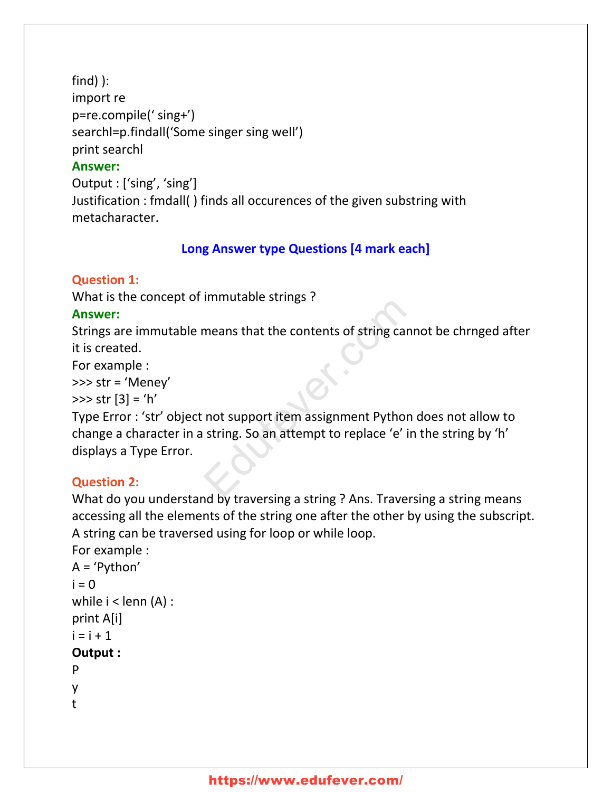find) ): import re p=re.compile(' sing+') searchl=p.findall('Some singer sing well') print searchl **Answer:** Output : ['sing', 'sing'] Justification : fmdall( ) finds all occurences of the given substring with

metacharacter.

# **Long Answer type Questions [4 mark each]**

#### **Question 1:**

What is the concept of immutable strings ?

#### **Answer:**

Strings are immutable means that the contents of string cannot be chrnged after it is created.

For example :

>>> str = 'Meney'

 $\gg$  str  $[3] = 'h'$ 

Type Error : 'str' object not support item assignment Python does not allow to change a character in a string. So an attempt to replace 'e' in the string by 'h' displays a Type Error. minimum<br>means that the contents of string cannot support item assignment Python of string. So an attempt to replace 'e' in

#### **Question 2:**

What do you understand by traversing a string ? Ans. Traversing a string means accessing all the elements of the string one after the other by using the subscript. A string can be traversed using for loop or while loop.

For example :

```
A = 'Python'
i = 0while i < lenn (A) :
print A[i]
i = i + 1Output :
P
```
- y
- t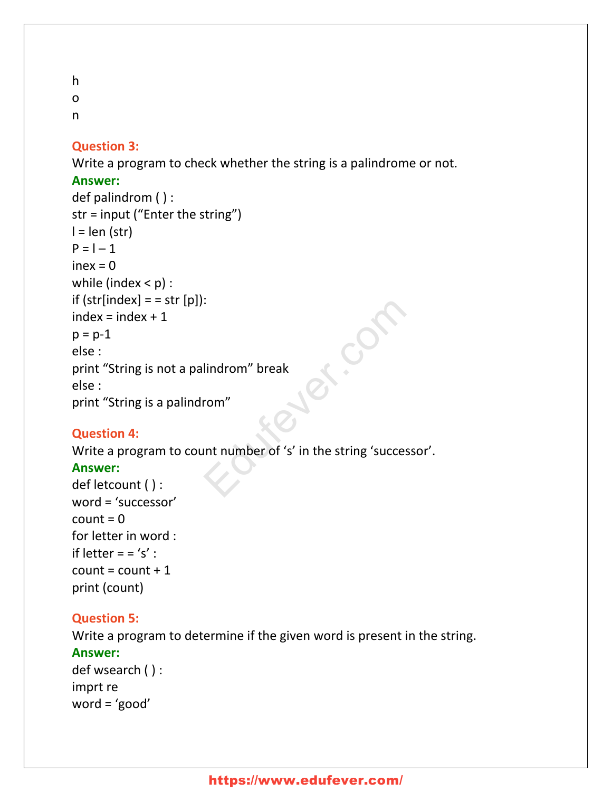h o

n

#### **Question 3:**

Write a program to check whether the string is a palindrome or not.

#### **Answer:**

```
def palindrom ( ) :
str = input ("Enter the string")
l = len (str)P = 1 - 1inex = 0
while (index < p) :
if (str[index] = str[p]:
index = index + 1p = p - 1else :
print "String is not a palindrom" break
else :
print "String is a palindrom"
                                         Education of the string of the string of the string of the string of the string of the string of the string of the string of the string of the string of the string of the string of the string of the string of the string of
```
#### **Question 4:**

Write a program to count number of 's' in the string 'successor'.

#### **Answer:**

```
def letcount ( ) :
word = 'successor'
count = 0for letter in word :
if letter = = 's' :
count = count + 1print (count)
```
#### **Question 5:**

Write a program to determine if the given word is present in the string. **Answer:** def wsearch ( ) : imprt re word = 'good'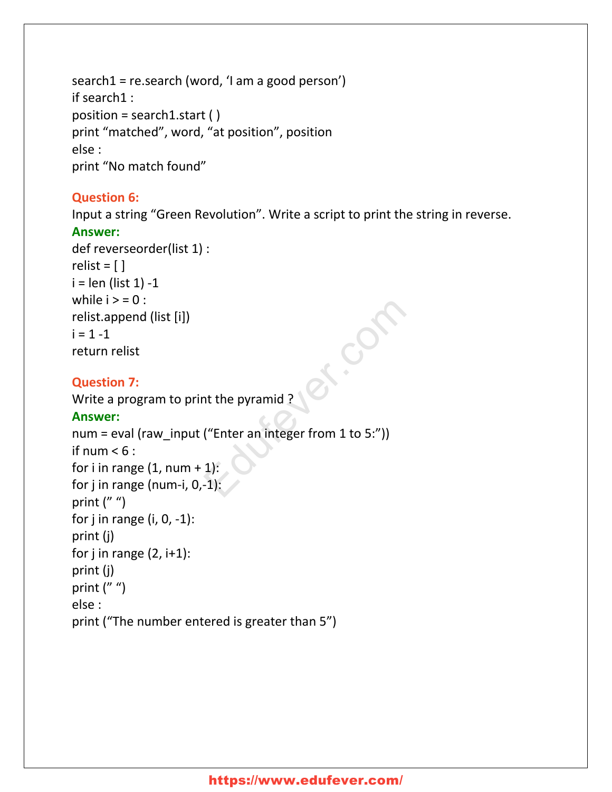search1 = re.search (word, 'I am a good person') if search1 : position = search1.start ( ) print "matched", word, "at position", position else : print "No match found"

### **Question 6:**

Input a string "Green Revolution". Write a script to print the string in reverse. **Answer:**

Edufever.com

```
def reverseorder(list 1) :
relist = [ ]i = len (list 1) - 1while i > 0 :
relist.append (list [i])
i = 1 - 1return relist
```
# **Question 7:**

Write a program to print the pyramid ?

#### **Answer:**

num = eval (raw\_input ("Enter an integer from 1 to 5:")) if num  $< 6$ : for i in range  $(1, num + 1)$ : for j in range (num-i, 0,-1): print  $('''')$ for  $j$  in range (i,  $0, -1$ ): print (j) for j in range  $(2, i+1)$ : print (j) print  $('''')$ else : print ("The number entered is greater than 5")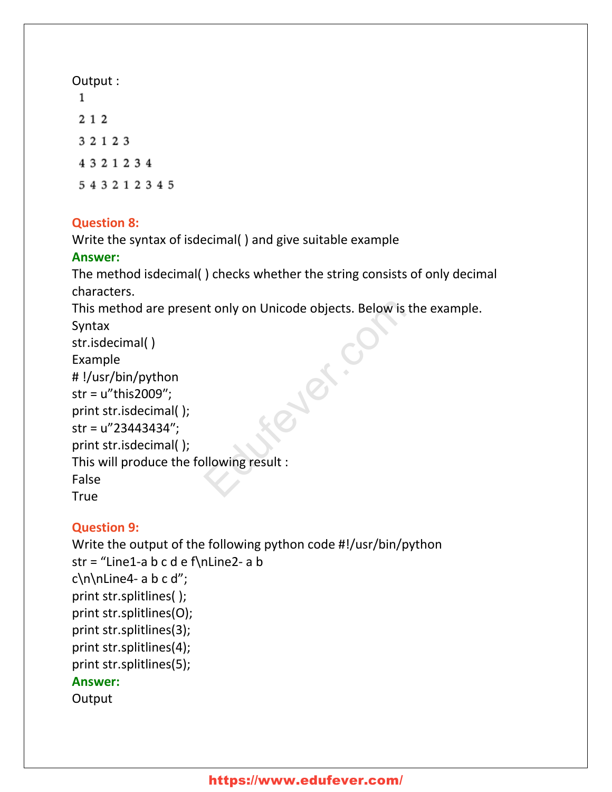# **Question 8:**

Write the syntax of isdecimal( ) and give suitable example

# **Answer:**

The method isdecimal( ) checks whether the string consists of only decimal characters.

This method are present only on Unicode objects. Below is the example.

```
Syntax
str.isdecimal( )
Example
# !/usr/bin/python
str = u"this2009″;
print str.isdecimal( );
str = u"23443434″;
print str.isdecimal( );
This will produce the following result :
False
True
                                 Public
```
# **Question 9:**

Write the output of the following python code #!/usr/bin/python str = "Line1-a b c d e f\nLine2- a b  $c\nh\ln$ ine4- a b c d"; print str.splitlines( ); print str.splitlines(O); print str.splitlines(3); print str.splitlines(4); print str.splitlines(5); **Answer: Output**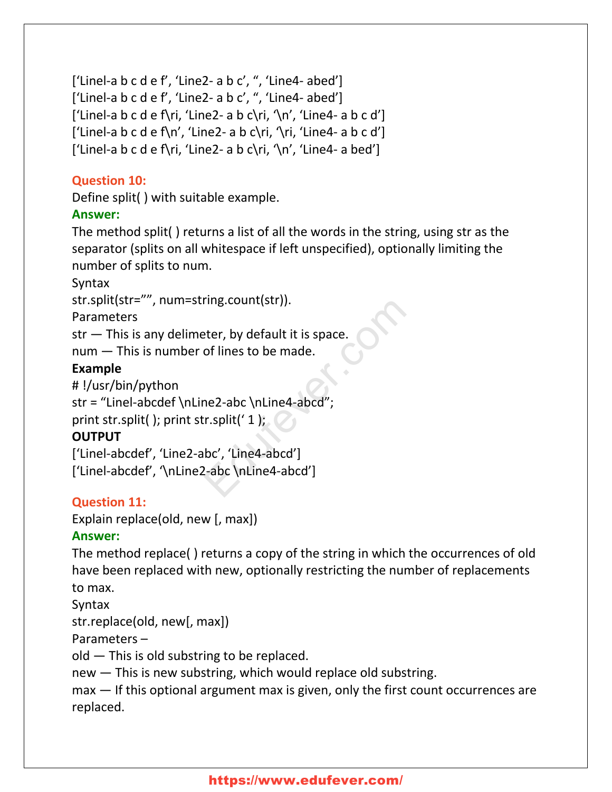```
['Linel-a b c d e f', 'Line2- a b c', ", 'Line4- abed']
['Linel-a b c d e f', 'Line2- a b c', ", 'Line4- abed']
['Linel-a b c d e f\ri, 'Line2- a b c\ri, '\n', 'Line4- a b c d']
['Linel-a b c d e f\langle n', 'Line2- a b c\langle r|, 'Line4- a b c d']
['Linel-a b c d e f\ri, 'Line2- a b c\ri, '\n', 'Line4- a bed']
```
# **Question 10:**

Define split( ) with suitable example.

# **Answer:**

The method split( ) returns a list of all the words in the string, using str as the separator (splits on all whitespace if left unspecified), optionally limiting the number of splits to num.

Syntax

str.split(str="", num=string.count(str)).

Parameters

str — This is any delimeter, by default it is space.

num — This is number of lines to be made.

# **Example**

```
# !/usr/bin/python
```
str = "Linel-abcdef \nLine2-abc \nLine4-abcd";

print str.split( ); print str.split( $'$  1 );

# **OUTPUT**

['Linel-abcdef', 'Line2-abc', 'Line4-abcd'] ['Linel-abcdef', '\nLine2-abc \nLine4-abcd'] ring.count(str)).<br>
eter, by default it is space.<br>
of lines to be made.<br>
ne2-abc \nLine4-abcd";<br>
r.split('1);<br>
bc', 'Line4-abcd']<br>
e-abc \nLine4-abcd']

# **Question 11:**

Explain replace(old, new [, max])

# **Answer:**

The method replace( ) returns a copy of the string in which the occurrences of old have been replaced with new, optionally restricting the number of replacements to max.

Syntax

str.replace(old, new[, max])

Parameters –

old — This is old substring to be replaced.

new — This is new substring, which would replace old substring.

max – If this optional argument max is given, only the first count occurrences are replaced.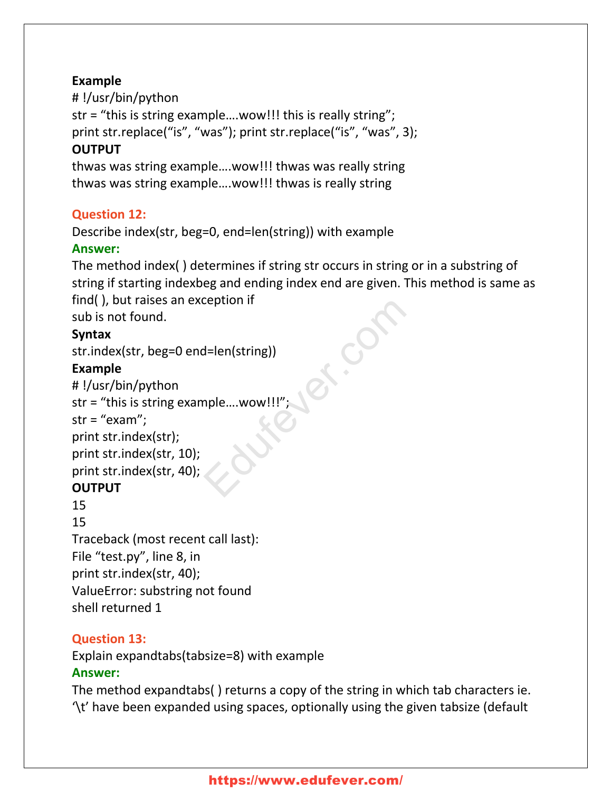#### **Example**

# !/usr/bin/python str = "this is string example….wow!!! this is really string"; print str.replace("is", "was"); print str.replace("is", "was", 3); **OUTPUT**

thwas was string example….wow!!! thwas was really string thwas was string example….wow!!! thwas is really string

# **Question 12:**

Describe index(str, beg=0, end=len(string)) with example

# **Answer:**

The method index( ) determines if string str occurs in string or in a substring of string if starting indexbeg and ending index end are given. This method is same as find( ), but raises an exception if

sub is not found.

# **Syntax**

```
str.index(str, beg=0 end=len(string))
```
# **Example**

```
# !/usr/bin/python
str = "this is string example….wow!!!";
str = "exam";
print str.index(str);
print str.index(str, 10);
print str.index(str, 40);
OUTPUT
15
15
Traceback (most recent call last):
                                           Explicit in the Contract of Contract of Contract of Contract of Contract of Contract of Contract of Contract of Contract of Contract of Contract of Contract of Contract of Contract of Contract of Contract of Contract of Co
```
File "test.py", line 8, in print str.index(str, 40); ValueError: substring not found shell returned 1

# **Question 13:**

Explain expandtabs(tabsize=8) with example

# **Answer:**

The method expandtabs( ) returns a copy of the string in which tab characters ie. '\t' have been expanded using spaces, optionally using the given tabsize (default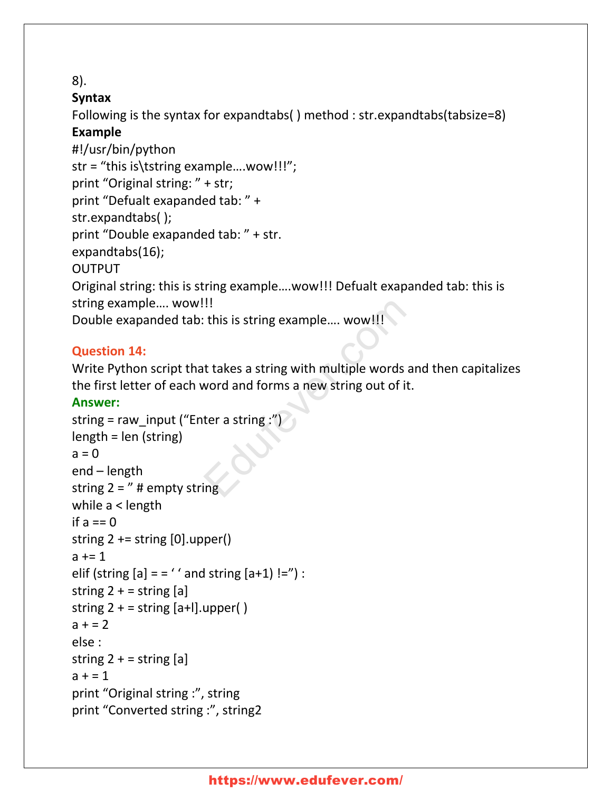#### 8).

# **Syntax**

Following is the syntax for expandtabs( ) method : str.expandtabs(tabsize=8)

# **Example**

#!/usr/bin/python str = "this is\tstring example….wow!!!"; print "Original string: " + str; print "Defualt exapanded tab: " + str.expandtabs( ); print "Double exapanded tab: " + str. expandtabs(16); OUTPUT Original string: this is string example….wow!!! Defualt exapanded tab: this is string example…. wow!!! Double exapanded tab: this is string example.... wow!!!

#### **Question 14:**

Write Python script that takes a string with multiple words and then capitalizes the first letter of each word and forms a new string out of it.

# **Answer:**

```
string = raw_input ("Enter a string :")
length = len (string)
a = 0end – length
string 2 = " # empty string
while a < length
if a == 0string 2 == string [0].upper()a == 1elif (string [a] = - '' and string [a+1]!=") :
string 2 + 5 string [a]string 2 + = string [a+1].upper()
a + 2else :
string 2 + 5 string [a]a + 1print "Original string :", string
print "Converted string :", string2
                               !!<br>
: this is string example.... wow!!!<br>
it takes a string with multiple words an<br>
word and forms a new string out of it.<br>
ter a string :")
```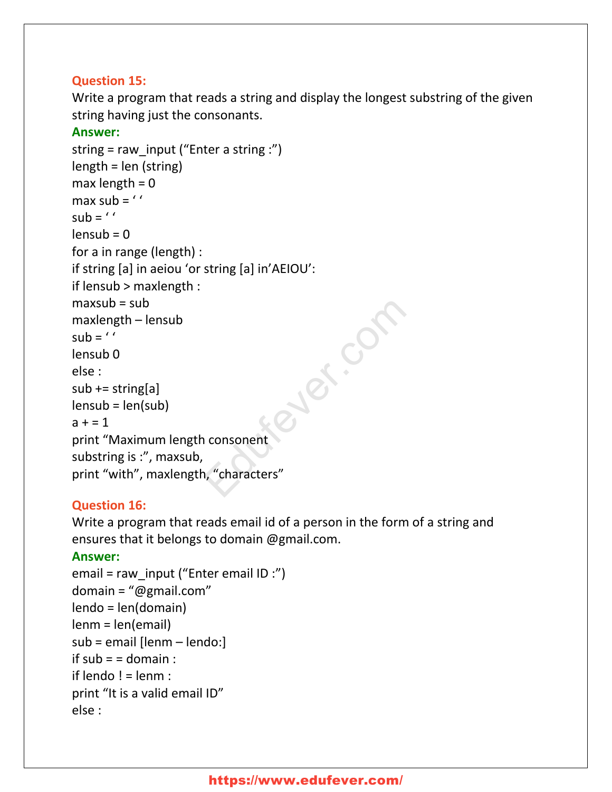### **Question 15:**

Write a program that reads a string and display the longest substring of the given string having just the consonants.

#### **Answer:**

```
string = raw input ("Enter a string :")
length = len (string)
max length = 0max sub = 'sub = 'lensub = 0for a in range (length) :
if string [a] in aeiou 'or string [a] in'AEIOU':
if lensub > maxlength :
maxsub = submaxlength – lensub
sub = 'lensub 0
else :
sub += string[a]lensub = len(sub)
a + 1print "Maximum length consonent
substring is :", maxsub,
print "with", maxlength, "characters"
                                 Syles Com
```
# **Question 16:**

Write a program that reads email id of a person in the form of a string and ensures that it belongs to domain @gmail.com.

#### **Answer:**

```
email = raw_input ("Enter email ID :")
domain = "@gmail.com"
lendo = len(domain)
lenm = len(email)
sub = email [lenm – lendo:]
if sub = = domain :
if lendo != lenm :print "It is a valid email ID"
else :
```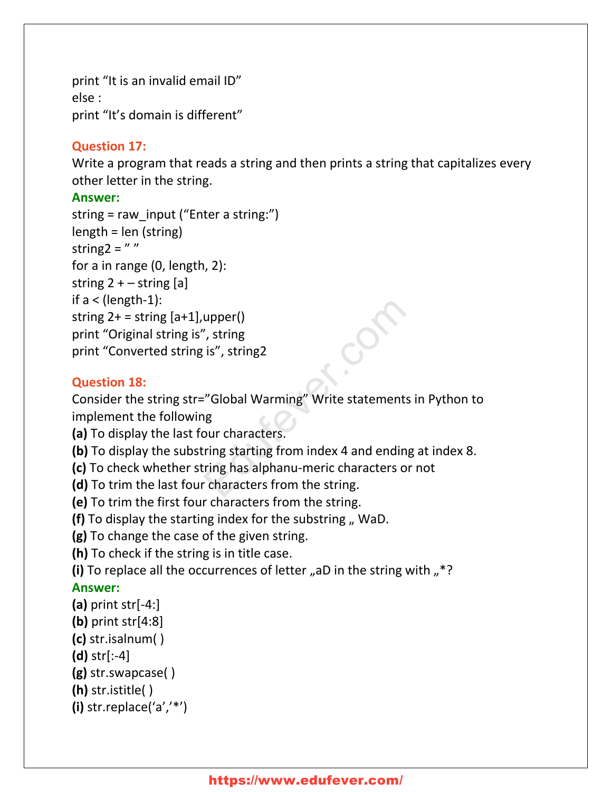print "It is an invalid email ID" else : print "It's domain is different"

#### **Question 17:**

Write a program that reads a string and then prints a string that capitalizes every other letter in the string.

#### **Answer:**

```
string = raw input ("Enter a string:")
length = len (string)
string 2 = "
for a in range (0, length, 2):
string 2 + - string [a]if a < (length-1):
string 2+ = string [a+1], upper()
print "Original string is", string
print "Converted string is", string2
```
#### **Question 18:**

Consider the string str="Global Warming" Write statements in Python to implement the following upper()<br>
", string<br>
is", string2<br>
"Global Warming" Write statements in<br>
1g<br>
pur characters.<br>
ring starting from index 4 and ending a<br>
ring has alphanu-meric characters or r<br>
characters from the string.

**(a)** To display the last four characters.

- **(b)** To display the substring starting from index 4 and ending at index 8.
- **(c)** To check whether string has alphanu-meric characters or not
- **(d)** To trim the last four characters from the string.
- **(e)** To trim the first four characters from the string.

**(f)** To display the starting index for the substring " WaD.

**(g)** To change the case of the given string.

**(h)** To check if the string is in title case.

(i) To replace all the occurrences of letter "aD in the string with "<sup>\*?</sup>

#### **Answer:**

- **(a)** print str[-4:]
- **(b)** print str[4:8]
- **(c)** str.isalnum( )
- **(d)** str[:-4]

```
(g) str.swapcase( )
```
**(h)** str.istitle( )

```
(i) str.replace('a','*')
```